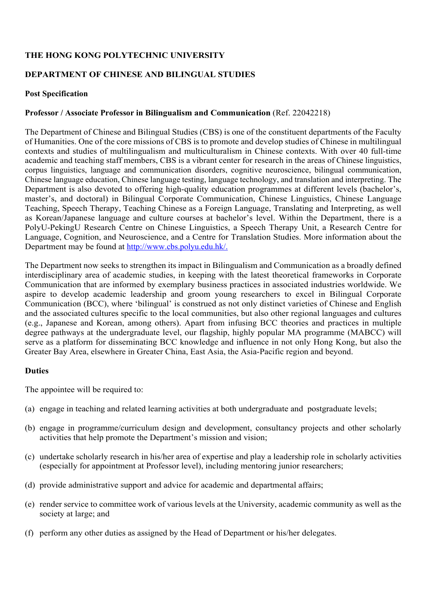# **THE HONG KONG POLYTECHNIC UNIVERSITY**

# **DEPARTMENT OF CHINESE AND BILINGUAL STUDIES**

### **Post Specification**

### **Professor / Associate Professor in Bilingualism and Communication** (Ref. 22042218)

The Department of Chinese and Bilingual Studies (CBS) is one of the constituent departments of the Faculty of Humanities. One of the core missions of CBS is to promote and develop studies of Chinese in multilingual contexts and studies of multilingualism and multiculturalism in Chinese contexts. With over 40 full-time academic and teaching staff members, CBS is a vibrant center for research in the areas of Chinese linguistics, corpus linguistics, language and communication disorders, cognitive neuroscience, bilingual communication, Chinese language education, Chinese language testing, language technology, and translation and interpreting. The Department is also devoted to offering high-quality education programmes at different levels (bachelor's, master's, and doctoral) in Bilingual Corporate Communication, Chinese Linguistics, Chinese Language Teaching, Speech Therapy, Teaching Chinese as a Foreign Language, Translating and Interpreting, as well as Korean/Japanese language and culture courses at bachelor's level. Within the Department, there is a PolyU-PekingU Research Centre on Chinese Linguistics, a Speech Therapy Unit, a Research Centre for Language, Cognition, and Neuroscience, and a Centre for Translation Studies. More information about the Department may be found at http://www.cbs.polyu.edu.hk/.

The Department now seeks to strengthen its impact in Bilingualism and Communication as a broadly defined interdisciplinary area of academic studies, in keeping with the latest theoretical frameworks in Corporate Communication that are informed by exemplary business practices in associated industries worldwide. We aspire to develop academic leadership and groom young researchers to excel in Bilingual Corporate Communication (BCC), where 'bilingual' is construed as not only distinct varieties of Chinese and English and the associated cultures specific to the local communities, but also other regional languages and cultures (e.g., Japanese and Korean, among others). Apart from infusing BCC theories and practices in multiple degree pathways at the undergraduate level, our flagship, highly popular MA programme (MABCC) will serve as a platform for disseminating BCC knowledge and influence in not only Hong Kong, but also the Greater Bay Area, elsewhere in Greater China, East Asia, the Asia-Pacific region and beyond.

### **Duties**

The appointee will be required to:

- (a) engage in teaching and related learning activities at both undergraduate and postgraduate levels;
- (b) engage in programme/curriculum design and development, consultancy projects and other scholarly activities that help promote the Department's mission and vision;
- (c) undertake scholarly research in his/her area of expertise and play a leadership role in scholarly activities (especially for appointment at Professor level), including mentoring junior researchers;
- (d) provide administrative support and advice for academic and departmental affairs;
- (e) render service to committee work of various levels at the University, academic community as well as the society at large; and
- (f) perform any other duties as assigned by the Head of Department or his/her delegates.